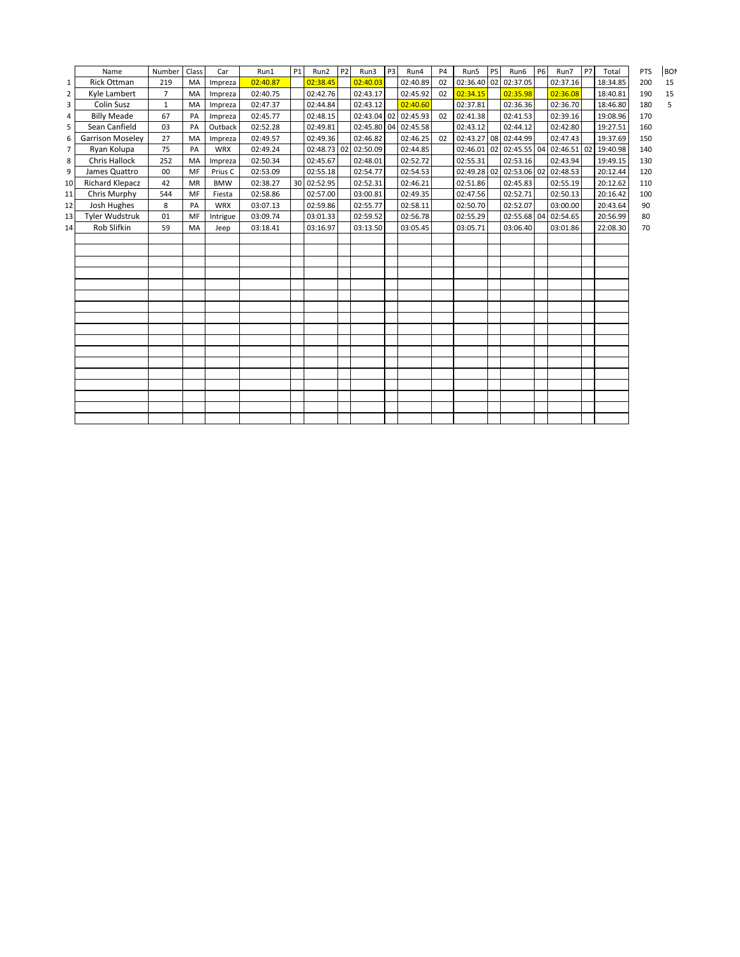|                | Name                    | Number         | Class     | Car        | Run1     | P <sub>1</sub> | Run2        | <b>P2</b> | Run3                 | P <sub>3</sub> | Run4                 | <b>P4</b> | Run5                 | <b>P5</b> | Run6                             | P <sub>6</sub> | Run7                                         | <b>P7</b> | Total    | PTS | <b>BON</b> |
|----------------|-------------------------|----------------|-----------|------------|----------|----------------|-------------|-----------|----------------------|----------------|----------------------|-----------|----------------------|-----------|----------------------------------|----------------|----------------------------------------------|-----------|----------|-----|------------|
| $\mathbf{1}$   | <b>Rick Ottman</b>      | 219            | MA        | Impreza    | 02:40.87 |                | 02:38.45    |           | 02:40.03             |                | 02:40.89             | 02        | 02:36.40 02 02:37.05 |           |                                  |                | 02:37.16                                     |           | 18:34.85 | 200 | 15         |
| 2              | Kyle Lambert            | $\overline{7}$ | MA        | Impreza    | 02:40.75 |                | 02:42.76    |           | 02:43.17             |                | 02:45.92             | 02        | 02:34.15             |           | 02:35.98                         |                | 02:36.08                                     |           | 18:40.81 | 190 | 15         |
| 3              | Colin Susz              | $\mathbf{1}$   | MA        | Impreza    | 02:47.37 |                | 02:44.84    |           | 02:43.12             |                | 02:40.60             |           | 02:37.81             |           | 02:36.36                         |                | 02:36.70                                     |           | 18:46.80 | 180 | 5          |
| 4              | <b>Billy Meade</b>      | 67             | PA        | Impreza    | 02:45.77 |                | 02:48.15    |           |                      |                | 02:43.04 02 02:45.93 | 02        | 02:41.38             |           | 02:41.53                         |                | 02:39.16                                     |           | 19:08.96 | 170 |            |
| 5              | Sean Canfield           | 03             | PA        | Outback    | 02:52.28 |                | 02:49.81    |           |                      |                | 02:45.80 04 02:45.58 |           | 02:43.12             |           | 02:44.12                         |                | 02:42.80                                     |           | 19:27.51 | 160 |            |
| 6              | <b>Garrison Moseley</b> | 27             | MA        | Impreza    | 02:49.57 |                | 02:49.36    |           | 02:46.82             |                | 02:46.25             | 02        | 02:43.27 08 02:44.99 |           |                                  |                | 02:47.43                                     |           | 19:37.69 | 150 |            |
| $\overline{7}$ | Ryan Kolupa             | 75             | PA        | <b>WRX</b> | 02:49.24 |                |             |           | 02:48.73 02 02:50.09 |                | 02:44.85             |           |                      |           |                                  |                | 02:46.01 02 02:45.55 04 02:46.51 02 19:40.98 |           |          | 140 |            |
| 8              | Chris Hallock           | 252            | MA        | Impreza    | 02:50.34 |                | 02:45.67    |           | 02:48.01             |                | 02:52.72             |           | 02:55.31             |           | 02:53.16                         |                | 02:43.94                                     |           | 19:49.15 | 130 |            |
| 9              | James Quattro           | 00             | MF        | Prius C    | 02:53.09 |                | 02:55.18    |           | 02:54.77             |                | 02:54.53             |           |                      |           | 02:49.28 02 02:53.06 02 02:48.53 |                |                                              |           | 20:12.44 | 120 |            |
| 10             | <b>Richard Klepacz</b>  | 42             | <b>MR</b> | <b>BMW</b> | 02:38.27 |                | 30 02:52.95 |           | 02:52.31             |                | 02:46.21             |           | 02:51.86             |           | 02:45.83                         |                | 02:55.19                                     |           | 20:12.62 | 110 |            |
| 11             | Chris Murphy            | 544            | MF        | Fiesta     | 02:58.86 |                | 02:57.00    |           | 03:00.81             |                | 02:49.35             |           | 02:47.56             |           | 02:52.71                         |                | 02:50.13                                     |           | 20:16.42 | 100 |            |
| 12             | Josh Hughes             | 8              | PA        | <b>WRX</b> | 03:07.13 |                | 02:59.86    |           | 02:55.77             |                | 02:58.11             |           | 02:50.70             |           | 02:52.07                         |                | 03:00.00                                     |           | 20:43.64 | 90  |            |
| 13             | <b>Tyler Wudstruk</b>   | 01             | MF        | Intrigue   | 03:09.74 |                | 03:01.33    |           | 02:59.52             |                | 02:56.78             |           | 02:55.29             |           |                                  |                | 02:55.68 04 02:54.65                         |           | 20:56.99 | 80  |            |
| 14             | Rob Slifkin             | 59             | MA        | Jeep       | 03:18.41 |                | 03:16.97    |           | 03:13.50             |                | 03:05.45             |           | 03:05.71             |           | 03:06.40                         |                | 03:01.86                                     |           | 22:08.30 | 70  |            |
|                |                         |                |           |            |          |                |             |           |                      |                |                      |           |                      |           |                                  |                |                                              |           |          |     |            |
|                |                         |                |           |            |          |                |             |           |                      |                |                      |           |                      |           |                                  |                |                                              |           |          |     |            |
|                |                         |                |           |            |          |                |             |           |                      |                |                      |           |                      |           |                                  |                |                                              |           |          |     |            |
|                |                         |                |           |            |          |                |             |           |                      |                |                      |           |                      |           |                                  |                |                                              |           |          |     |            |
|                |                         |                |           |            |          |                |             |           |                      |                |                      |           |                      |           |                                  |                |                                              |           |          |     |            |
|                |                         |                |           |            |          |                |             |           |                      |                |                      |           |                      |           |                                  |                |                                              |           |          |     |            |
|                |                         |                |           |            |          |                |             |           |                      |                |                      |           |                      |           |                                  |                |                                              |           |          |     |            |
|                |                         |                |           |            |          |                |             |           |                      |                |                      |           |                      |           |                                  |                |                                              |           |          |     |            |
|                |                         |                |           |            |          |                |             |           |                      |                |                      |           |                      |           |                                  |                |                                              |           |          |     |            |
|                |                         |                |           |            |          |                |             |           |                      |                |                      |           |                      |           |                                  |                |                                              |           |          |     |            |
|                |                         |                |           |            |          |                |             |           |                      |                |                      |           |                      |           |                                  |                |                                              |           |          |     |            |
|                |                         |                |           |            |          |                |             |           |                      |                |                      |           |                      |           |                                  |                |                                              |           |          |     |            |
|                |                         |                |           |            |          |                |             |           |                      |                |                      |           |                      |           |                                  |                |                                              |           |          |     |            |
|                |                         |                |           |            |          |                |             |           |                      |                |                      |           |                      |           |                                  |                |                                              |           |          |     |            |
|                |                         |                |           |            |          |                |             |           |                      |                |                      |           |                      |           |                                  |                |                                              |           |          |     |            |
|                |                         |                |           |            |          |                |             |           |                      |                |                      |           |                      |           |                                  |                |                                              |           |          |     |            |
|                |                         |                |           |            |          |                |             |           |                      |                |                      |           |                      |           |                                  |                |                                              |           |          |     |            |